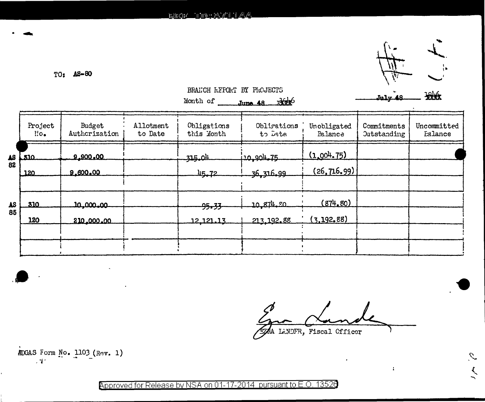$TO: AS-80$ 



 $\mathcal{I}_\cdot$ 

 $\mathcal{N}_\ell$ 

BRANCH REFORT BY PROJECTS

|                                         |                       |                         |                      | Month of                  | $J$ une 48 $\frac{1}{2}$ |                               | July 48                           | <b>XXXX</b>            |
|-----------------------------------------|-----------------------|-------------------------|----------------------|---------------------------|--------------------------|-------------------------------|-----------------------------------|------------------------|
|                                         | Project<br>$\Gamma$ . | Budget<br>Authcrization | Allotment<br>to Date | Obligations<br>this Month | Obligations<br>to Date   | Unobligated<br><b>Balance</b> | Commitments<br><b>Outstanding</b> | Uncommitted<br>Ealance |
| $\begin{array}{c} 4S \\ 82 \end{array}$ | لمتعا                 | 9.900.00                |                      | 315.04                    | 120,904.75               | (1,004,75)                    |                                   |                        |
|                                         | 120                   | 9.600.00                |                      | 45.72                     | 36,316,99                | (26, 716, 99)                 |                                   |                        |
| $\Delta S$                              | 310                   | 10,000,00               |                      | <del>95.33</del>          | 10 874 20                | (874, 80)                     |                                   |                        |
| 85                                      | 120                   | 210,000.00              |                      | 12.121.13                 | 213, 192.88              | (3, 192, 88)                  |                                   |                        |
|                                         |                       |                         |                      |                           |                          |                               |                                   |                        |

 $\mathbf{r}$ 

ZAA LANDFR, Fiscal Officer

MDGAS Form No. 1103 (Rev. 1)  $\sim 12$ 

Approved for Release by NSA on 01-17-2014 pursuant to E.O. 13526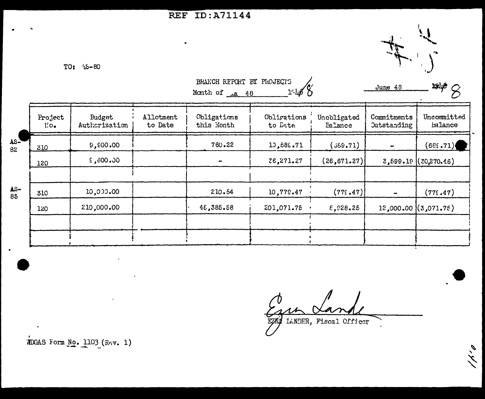## **REF ID: A71144**



TO: 45-80

 $rac{1}{62}$ 

 $\frac{\text{AS}}{85}$ 

|                        |                                |                      | BRANCH REPORT BY PROJECTS<br>1.468<br>Month of <u>La 48</u> |                        |                        | June 48                           | $\sim$ 3946                |  |
|------------------------|--------------------------------|----------------------|-------------------------------------------------------------|------------------------|------------------------|-----------------------------------|----------------------------|--|
| Project<br>$\Gamma$ o. | <b>Budget</b><br>Authorization | Allotment<br>to Date | Obligations<br>this Month                                   | Obligations<br>to Date | Unobligated<br>Ealance | Commitments<br><b>Outstanding</b> | Uncommitted<br>Ealance     |  |
| 310                    | 9,000.00                       |                      | 760.22                                                      | 10,589.71              | (369.71)               |                                   | (68: .71)                  |  |
| 120                    | $0.006$ , 3                    |                      |                                                             | 26,271.27              | (26, 671.27)           |                                   | $3,599.19$ ( $20,270.46$ ) |  |
| 310                    | 10,000.00                      |                      | 210.54                                                      | 10,779.47              | (775.47)               |                                   | (775.47)                   |  |
| 120                    | 210,000.00                     |                      | 48,385.58                                                   | 201,071.75             | E, 228.25              |                                   | $12,000.00$ $(3,071.75)$   |  |
|                        |                                |                      |                                                             |                        |                        |                                   |                            |  |
|                        |                                |                      |                                                             |                        |                        |                                   |                            |  |

 $\overline{\phantom{a}}$ 

9, 4

EZEL LANDER, Fiscal Officer

MDGAS Form No. 1103 (Rev. 1)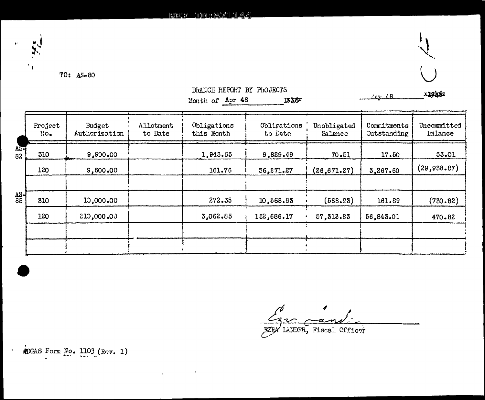

 $\mathbf{A}$ 



Cev 48

BRANCH REPORT BY PROJECTS

Month of Apr 48 1546.

| 310 | 9,900.00   |          |            |              |           | Ealance      |
|-----|------------|----------|------------|--------------|-----------|--------------|
|     |            | 1,943.65 | 9,829.49   | 70.51        | 17.50     | 53.01        |
| 120 | 9,600.00   | 161.76   | 36,271.27  | (26, 671.27) | 3,267.60  | (29, 938.87) |
| 310 | 10,000.00  | 272.35   | 10,568.93  | (568.93)     | 161.89    | (730.82)     |
| 120 | 210,000.00 | 3,062.85 | 152,686.17 | 57,313.83    | 56,843.01 | 470.82       |
|     |            |          |            |              |           |              |
|     |            |          |            |              |           |              |

EZEA LANDFR, Fiscal Officer

MDGAS Form No. 1103 (Rev. 1)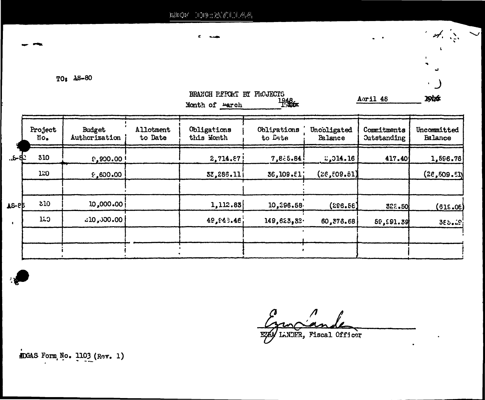$\left[ \begin{smallmatrix} 1 & 0 & 0 \\ 0 & 1 & 0 \end{smallmatrix} \right] \otimes \left[ \begin{smallmatrix} A_1 & A_2 & 0 \\ A_1 & A_2 & 0 \end{smallmatrix} \right] \otimes \left[ \begin{smallmatrix} A_1 & A_2 & 0 \\ A_2 & A_3 & 0 \end{smallmatrix} \right]$  $\mathrm{H}\hat{\otimes}\mathrm{H}^0\hat{\otimes}\mathrm{H}^1$ 

ċ.

 $TO:$   $\Delta S-80$ 

|            |                                          |                         |                             | BRANCH P.F.PORT BY PROJECTS<br>Month of warch | $\frac{1948}{1300}$    |                        | Aoril 48                          | <b>ISTE</b>                   |
|------------|------------------------------------------|-------------------------|-----------------------------|-----------------------------------------------|------------------------|------------------------|-----------------------------------|-------------------------------|
|            | Project<br>$\mathbf{H} \circ \mathbf{C}$ | Budget<br>Authorization | <b>Allotment</b><br>to Date | Obligations<br>this Month                     | Obligations<br>to Date | Unooligated<br>Balance | Commitments<br><b>Outstanding</b> | Uncommitted<br><b>Balance</b> |
| - 6-8-     | 310                                      | $0.900.00$ !            |                             | 2,714.87                                      | 7,8:5.84               | 2,014.16               | 417.40                            | 1,596.76                      |
|            | 120                                      | 0.00.63                 |                             | 33,286.11                                     | 36,109.El              | (26, 509, 51)          |                                   | (2e, 509.51)                  |
| $A S - 8E$ | 510                                      | 10,000,00               |                             | 1,112.83                                      | 10,296.58              | (286.58)               | 322.50                            | (615.06)                      |
|            | 120                                      | $-10,000,00$            |                             | 49, 443. 46                                   | 149,623,32             | 60,376.68              | 59,891.39                         | 385.2                         |
|            |                                          |                         |                             |                                               |                        |                        |                                   |                               |

 $\mathcal{A} = \begin{bmatrix} 1 & 1 \\ 1 & 1 \end{bmatrix}$ 

 $\mathbf{t}$ 

 $\bigcup$ 

 $\hat{\mathbf{r}}$ 

- -

EZA LADER, Fiscal Officer

DGAS Form No. 1103 (Rev. 1)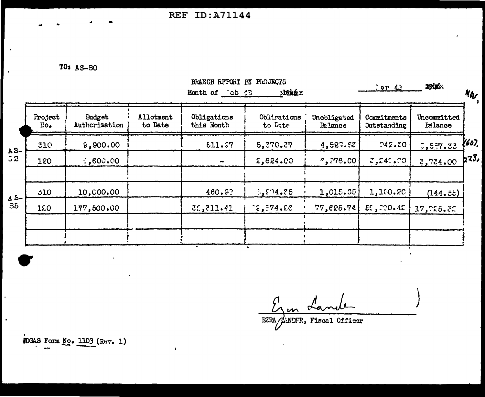REF ID:A71144

 $\bar{\mathbf{V}}$ 

TO: AS-80

 $\bullet$ 

 $\ddot{\phantom{a}}$ 

 $\bullet$ 

|              |                 |                         |                      | <b>xodpóx</b><br>$:$ ar $43$ |                        | <b>MA</b>              |                                   |                        |       |
|--------------|-----------------|-------------------------|----------------------|------------------------------|------------------------|------------------------|-----------------------------------|------------------------|-------|
|              | Project<br>l.o. | Budget<br>Authcrization | Allotment<br>to Date | Obligations<br>this Month    | Obligations<br>to Date | Unobligated<br>Balance | Commitments<br><b>Outstanding</b> | Uncommitted<br>Ealance |       |
| $A S -$      | 310             | 9,900.00                |                      | 511.77                       | 5,270.27               | 4,523.63               | 742.70                            | 5,5.7.52               | {607. |
| $\mathbf{C}$ | 120             | 600.00                  |                      |                              | 2,624.00               | $e,$ ?76.00 $\vert$    | 2,241,00                          | 3,734.00               | b23,  |
| A 5-         | 510             | 10,000.00               |                      | 460.83                       | 3,534.75               | 1,015.65               | 1,160.20                          | (144.5t)               |       |
| 35           | 120             | 177,500.00              |                      | 3:311.41                     | $\mathcal{E}$ , 274.20 | 77,625.74              | $EC$ , $CO$ . $AE$                | 17,725.32              |       |
|              |                 |                         |                      |                              |                        |                        |                                   |                        |       |

Erm Lan

EZRA/WANDFR, Fiscal Officer

ADGAS Form No. 1103 (Rev. 1)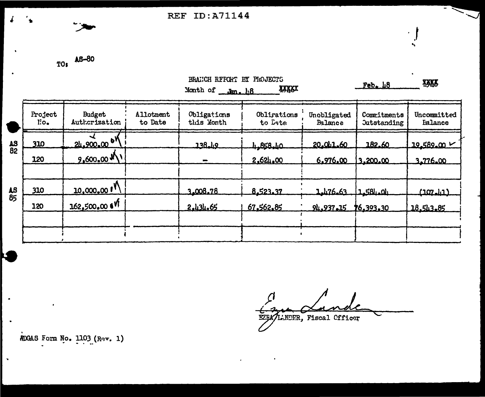REF ID:A71144

TO: AS-80

 $\sqrt{2}$ 

 $\bullet$ 

 $\hat{\mathbf{r}}$ 

|          |                    |                           |                             | BRANCH REFORT BY PHOJECTS<br>Month of Jan. 18 | <b>INKRX</b>           |                        | Feb.18                            | <b>IKKK</b>                   |
|----------|--------------------|---------------------------|-----------------------------|-----------------------------------------------|------------------------|------------------------|-----------------------------------|-------------------------------|
|          | Project<br>$l$ io. | Budget<br>Authorization   | <b>Allotment</b><br>to Date | Obligations<br>this Month                     | Oblirations<br>to Date | Unobligated<br>Balance | Commitments<br><b>Outstanding</b> | Uncommitted<br><b>Ealance</b> |
| as<br>82 | 310                | 24.900.00 07              |                             | 138.49                                        | <u>4.858.40</u>        | 20.011.60              | 182.60                            | $19.589.00 \times$            |
|          | 120                | $9,600,00$ M)             |                             | œ.                                            | 2,624,00               | 6.976.00               | 3.200.00                          | 3.776.00                      |
| ٨S<br>85 | 310                | 10,000,00 P               |                             | 3.008.78                                      | 8,523.37               | 1.476.63               | 1158404                           | <u>(107.11)</u>               |
|          | 120                | 162,500,00 t <sup>V</sup> |                             | 2.434.65                                      | 67.562.85              | 94.937.15              | 16.393.30                         | 18.543.85                     |
|          |                    |                           |                             |                                               |                        |                        |                                   |                               |

EZEA/LENDER, Fiscal Officer

*iDGAS* Form No. 1103 (Rev. 1)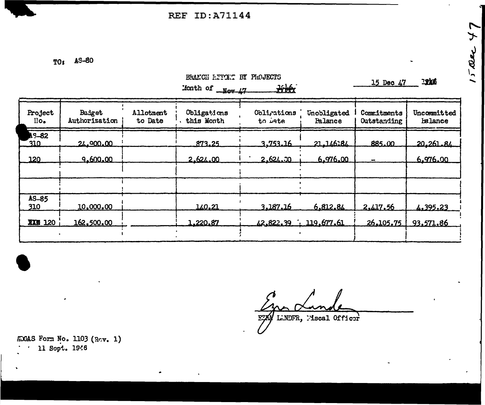**REF ID:A71144** 

TO: AS-80

|                               |                         |                      | DIVILON ILIMA DI TRADDOTO<br>Month of $\sqrt{N}$ | 我族                     |                        | 15 Dec 47                  | <b>12k6</b>                   |
|-------------------------------|-------------------------|----------------------|--------------------------------------------------|------------------------|------------------------|----------------------------|-------------------------------|
| Project<br>$\overline{110}$ . | Budget<br>Authorization | Allotment<br>to Date | Obligations<br>this Month                        | Obligations<br>to Date | Unobligated<br>Palance | Commitments<br>Outstanding | Uncommitted<br><b>balance</b> |
| <b>AS-82</b><br><u>310.</u>   | 24.900.00               |                      | 873.25                                           | 3,753.16               | 21.146184              | 885.00                     | 20,261.84                     |
| 120                           | 9.600.00                |                      | 2.624.00                                         | 2.624.30               | 6.976.00               |                            | 6.976.00                      |
|                               |                         |                      |                                                  |                        |                        |                            |                               |
| $AS-85$<br>310                | 10,000.00               |                      | 140.21                                           | 3.187.16               | 6.812.84               | 2.417.56                   | 4.395.23                      |
| <b>XXW 120</b>                | 162,500.00              |                      | 1,220.87                                         | 42.822.39              | 119.677.61             | 26.105.75                  | 93,571.86                     |
|                               |                         |                      |                                                  |                        |                        |                            |                               |

BRANCH REPORT BY PROJECTS

LENDFR, Mscal Officer

#DGAS Form No. 1103 (Rov. 1) 11 Sopt. 1946  $\epsilon$ 

 $15$  are 47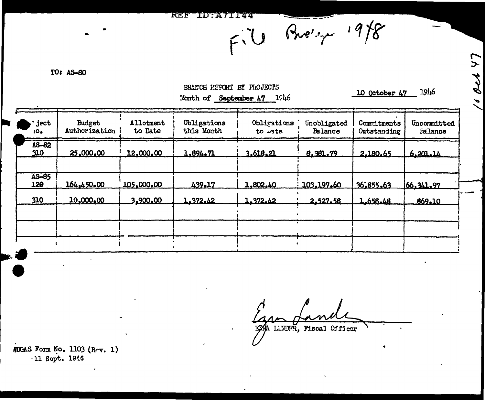$FU$  *Bre'spx* 19/8

TO: AS-80

BRANCH REPORT BY PROJECTS Month of September 47 1946

10 October 47 1946

| ject<br>10.  | Budget<br>Authorization | Allotment<br>to Date | Obligations<br>this Month | Obligations<br>to uste | Unobligated<br>Balance | Commitments<br>Outstanding | Uncommitted<br>Falance |
|--------------|-------------------------|----------------------|---------------------------|------------------------|------------------------|----------------------------|------------------------|
| AS-82<br>310 | 25,000,00               | 12,000.00            | 1.894.71                  | 3.618.21               | 8.381.79               | 2.180.65                   | 6.201.14               |
| AS-85<br>120 | 164,450.00              | 105,000,00           | 439.17                    | 1,802,40               | 103.197.60             | 36.855.63                  | 66.341.97              |
| 310          | 10,000.00               | 3,900.00             | 1.372.42                  | 1.372.42               | 2.527.58               | 1.658.48                   | 869.10                 |

EZA LINDFR, Fiscal Officer

ADGAS Form No. 1103 (Rov. 1) -11 Sopt. 1946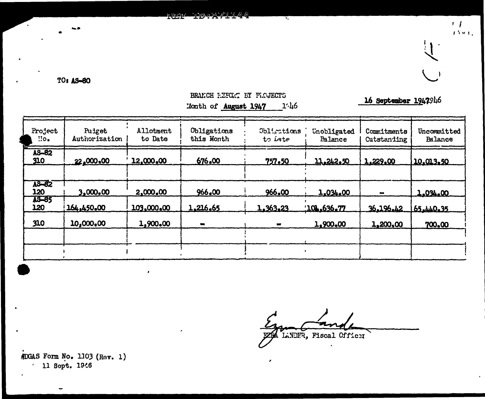**KAR FILM AND AND REPORT** 

TO: AS-80

## BRANCH HERGGT EY PLOJECTS Month of August 1947  $1·h6$

16 September 1947946

 $\mathbf{r}$  $\hat{f}$  for  $\hat{f}$  .

 $\frac{1}{2}$ 

 $\rightarrow$ 

| Project<br>$\mathbf{H}$ <sub><math>\bullet</math></sub> | Puiget<br>Authorization | Allotment<br>to Date | Obligations<br>this Month | Obligations<br>to Late | Unobligated<br><b>Palance</b> | Commitments<br>Cutstanding | Uncommitted<br><b>Ealance</b> |
|---------------------------------------------------------|-------------------------|----------------------|---------------------------|------------------------|-------------------------------|----------------------------|-------------------------------|
| AS-82<br>310                                            | 22,000.00               | 12,000.00            | 676.00                    | 757.50                 | 11.242.50                     | 1,229,00                   | 10.013.50                     |
| AS-82<br>120<br><b>AS-85</b>                            | 3,000,00                | 2,000,00             | 966.00                    | 966.00                 | 1,034.00                      |                            | 1.034.00                      |
| 120                                                     | 164,450.00              | 103,000.00           | 1,216.65                  | 1,363,23               | 101.636.77                    | 36.196.42                  | 65.440.35                     |
| 310                                                     | 10,000,00               | 1,900.00             | -                         | $\bullet$              | 1,900.00                      | 1,200,00                   | 700.00                        |
|                                                         |                         |                      |                           |                        |                               |                            |                               |
|                                                         |                         |                      |                           |                        |                               |                            |                               |

LINDIR, Fiscal Officer

MDGAS Form No. 1103 (Rev. 1) 11 Sopt. 1946

 $\mathbf{r}$